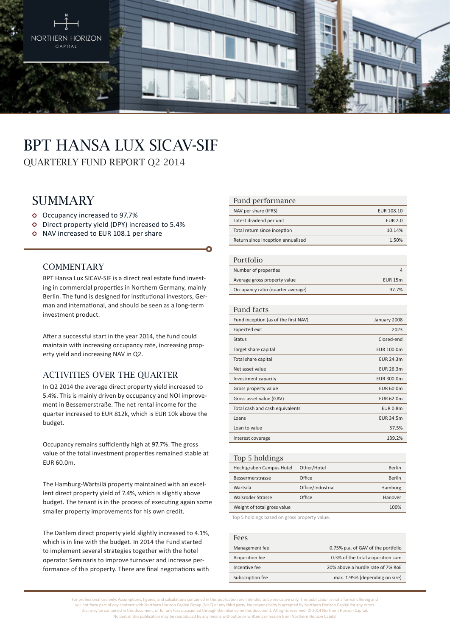

# BPT Hansa Lux SICAV-SIF

QUARTERLY FUND REPORT Q2 2014

# **SUMMARY**

- Occupancy increased to 97.7%
- Direct property yield (DPY) increased to 5.4%
- o NAV increased to EUR 108.1 per share

### **COMMENTARY**

BPT Hansa Lux SICAV-SIF is a direct real estate fund investing in commercial properties in Northern Germany, mainly Berlin. The fund is designed for institutional investors, German and international, and should be seen as a long-term investment product.

After a successful start in the year 2014, the fund could maintain with increasing occupancy rate, increasing property yield and increasing NAV in Q2.

# Activities over the quarter

In Q2 2014 the average direct property yield increased to 5.4%. This is mainly driven by occupancy and NOI improvement in Bessemerstraße. The net rental income for the quarter increased to EUR 812k, which is EUR 10k above the budget.

Occupancy remains sufficiently high at 97.7%. The gross value of the total investment properties remained stable at EUR 60.0m.

The Hamburg-Wärtsilä property maintained with an excellent direct property yield of 7.4%, which is slightly above budget. The tenant is in the process of executing again some smaller property improvements for his own credit.

The Dahlem direct property yield slightly increased to 4.1%, which is in line with the budget. In 2014 the Fund started to implement several strategies together with the hotel operator Seminaris to improve turnover and increase performance of this property. There are final negotiations with

#### Fund performance

| NAV per share (IFRS)              | EUR 108.10     |
|-----------------------------------|----------------|
| Latest dividend per unit          | <b>EUR 2.0</b> |
| Total return since inception      | 10.14%         |
| Return since inception annualised | 1.50%          |
|                                   |                |

#### Portfolio

| T OT LIQITO                       |                |
|-----------------------------------|----------------|
| Number of properties              |                |
| Average gross property value      | <b>EUR 15m</b> |
| Occupancy ratio (quarter average) | 97.7%          |

#### Fund facts

| Fund inception (as of the first NAV) | January 2008     |
|--------------------------------------|------------------|
| Expected exit                        | 2023             |
| <b>Status</b>                        | Closed-end       |
| Target share capital                 | EUR 100.0m       |
| Total share capital                  | <b>EUR 24.3m</b> |
| Net asset value                      | EUR 26.3m        |
| Investment capacity                  | EUR 300.0m       |
| Gross property value                 | EUR 60.0m        |
| Gross asset value (GAV)              | EUR 62.0m        |
| Total cash and cash equivalents      | <b>EUR 0.8m</b>  |
| Loans                                | <b>EUR 34.5m</b> |
| Loan to value                        | 57.5%            |
| Interest coverage                    | 139.2%           |
|                                      |                  |

| Top 5 holdings              |                   |               |
|-----------------------------|-------------------|---------------|
| Hechtgraben Campus Hotel    | Other/Hotel       | <b>Berlin</b> |
| Bessermerstrasse            | Office            | Berlin        |
| Wärtsilä                    | Office/Industrial | Hamburg       |
| Walsroder Strasse           | Office            | Hanover       |
| Weight of total gross value |                   | 100%          |
|                             |                   |               |

Top 5 holdings based on gross property value.

| Fees             |                                    |
|------------------|------------------------------------|
| Management fee   | 0.75% p.a. of GAV of the portfolio |
| Acquisition fee  | 0.3% of the total acquisition sum  |
| Incentive fee    | 20% above a hurdle rate of 7% RoE  |
| Subscription fee | max. 1.95% (depending on size)     |

For professional use only. Assumptions, figures, and calculations contained in this publication are intended to be indicative only. This publication is not a formal offering and will not form part of any contract with Northern Horizon Capital Group (NHC) or any third party. No responsibility is accepted by Northern Horizon Capital for any errors that may be contained in this document, or for any loss occasioned through the reliance on this document. All rights reserved. © 2014 Northern Horizon Capital. No part of this publication may be reproduced by any means without prior written permission from Northern Horizon Capital